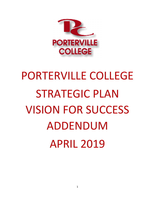

# PORTERVILLE COLLEGE STRATEGIC PLAN VISION FOR SUCCESS ADDENDUM APRIL 2019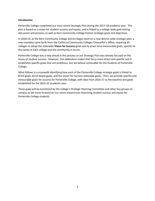#### **Introduction**

Porterville College completed our most recent Strategic Plan during the 2017‐18 academic year. This plan is based on a vision for student success and equity, and is linked to a college-wide goal-setting discussion and process, as well as Kern Community College District strategic goals and objectives.

In 2018-19, as the Kern Community College District began work on a new district-wide strategic plan, a new mandate came forth from the California Community Colleges Chancellor's Office, requiring all colleges to adopt the statewide **Vision for Success** goals and to enact local measurable goals, specific to the needs of each college and the community it serves.

Porterville College was a step ahead in this process as our Strategic Plan was already focused on the issues of student success. However, this addendum makes that focus more direct and specific and it establishes specific goals that are ambitious, but we believe achievable for the students of Porterville College.

What follows is a crosswalk identifying how each of the Porterville College strategic goals is linked to KCCD goals, KCCD board goals, and the Vision for Success statewide goals. Then, we provide specific and measurable goals for success for Porterville College, with data from 2016‐17 as the baseline and goals established for the 2021‐22 academic year.

These goals will be monitored by the college's Strategic Planning Committee and other key groups on campus as we move forward on our vision toward ever improving student success and equity for Porterville College students.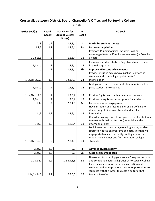# **Crosswalk between District, Board, Chancellor's Office, and Porterville College Goals**

| <b>District Goal(s)</b> | <b>Board</b><br>Goal(s) | <b>CCC Vision for</b><br><b>Student Success</b><br>Goal(s) | PC<br>Goal #   | <b>PC Goal</b>                                                                                                                                                                                                                      |
|-------------------------|-------------------------|------------------------------------------------------------|----------------|-------------------------------------------------------------------------------------------------------------------------------------------------------------------------------------------------------------------------------------|
| 1, 2, 3                 | 1, 2                    | 1, 2, 3, 4                                                 | $\mathbf{1}$   | <b>Maximize student success</b>                                                                                                                                                                                                     |
| 1, 2, 3                 | 1,2                     | 1, 2, 3, 4                                                 | 1a             | <b>Increase completion</b>                                                                                                                                                                                                          |
| 1, 1a, 1c, 3            | $\overline{2}$          | 1, 2, 3, 4                                                 | 1.1            | Promote 15 units to finish. Students will be<br>encouraged to take 15 units per semester (or 30 units<br>a year)                                                                                                                    |
| 1, 1a, 1b               | $\overline{2}$          | 1,2,3,4                                                    | 1.2            | Encourage students to take English and math courses<br>in the first quarter                                                                                                                                                         |
| 1,1b                    | $\overline{2}$          | 1, 2, 3, 4                                                 | 1 <sub>b</sub> | <b>Improve Milestone achievements</b>                                                                                                                                                                                               |
| 1,1a,1b,1c,2,3          | 1,2                     | 1,2,3,4,5                                                  | 1.3            | Provide intrusive advising/counseling - contacting<br>students and scheduling appointments for<br>matriculation                                                                                                                     |
| 1, 1a, 1b               | $\overline{2}$          | 1, 2, 3, 4                                                 | 1.4            | Multiple measures assessment placement is used to<br>place students into courses                                                                                                                                                    |
| 1,1a,1b,1c,2,3          | 2                       | 1, 2, 3, 4                                                 | 1.5            | Provide English and math acceleration courses                                                                                                                                                                                       |
| 1, 1a, 1b               | $\overline{2}$          | 1, 2, 3, 4                                                 | 1.6            | Provide co-requisite course options for students.                                                                                                                                                                                   |
| 1,1c                    | $\overline{2}$          | 1,2,3,4,5                                                  | 1c             | Increase student engagement                                                                                                                                                                                                         |
| 1,1c,3                  | 1,2                     | 1,2,3,4                                                    | 1.7            | Have a student and faculty panel as part of Flex to<br>discuss ways to improve student and faculty<br>interaction                                                                                                                   |
| 1,1c,3                  | 1,2                     | 1,2,3,4                                                    | 1.8            | Consider hosting a 'meet and greet' event for students<br>to meet with their professors (potentially in the<br>afternoon of Flex)                                                                                                   |
| 1,1a,1b,1c,2,3          | 2                       | 1,2,3,4,5                                                  | 1.9            | Look into ways to encourage reading among students,<br>specifically focus on programs and activities that will<br>engage students not currently reading as much as<br>others: men, Latinos and first generation college<br>students |
|                         |                         |                                                            |                |                                                                                                                                                                                                                                     |
| 2, 2a, 3                | 1,2                     | 5,6                                                        | $\overline{2}$ | <b>Advance student equity</b>                                                                                                                                                                                                       |
| 2, 2a, 3                | 1,2                     | 5,6                                                        | 2a             | <b>Close achievement gaps</b>                                                                                                                                                                                                       |
| 1,1c,2,2a               | 1,2                     | 1, 2, 3, 4, 5, 6                                           | 2.1            | Narrow achievement gaps in course/program success<br>and completion across all groups at Porterville College                                                                                                                        |
| $1, 1a, 1b, 1c$ 3       | 1,2                     | 2,3,5,6                                                    | 2.2            | Increase collaboration between instruction and<br>student services to promote transfer opportunities to<br>students with the intent to create a cultural shift<br>towards transfer                                                  |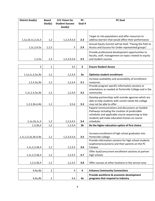| <b>District Goal(s)</b> | <b>Board</b><br>Goal(s) | <b>CCC Vision for</b><br><b>Student Success</b><br>Goal(s) | <b>PC</b><br>Goal #     | <b>PC Goal</b>                                                                                                                                                                                                        |
|-------------------------|-------------------------|------------------------------------------------------------|-------------------------|-----------------------------------------------------------------------------------------------------------------------------------------------------------------------------------------------------------------------|
| 1,1a,1b,1c,2,2a,3       | 1,2                     | 1, 2, 3, 4, 5, 6                                           | 2.3                     | Target at risk populations and offer resources to<br>address barriers that would affect their performance                                                                                                             |
| 1,1c,2,4,5a             | 1, 2, 3                 | 5                                                          | 2.4                     | Annual Equity Summit will be held: "Paving the Path to<br>Access and Success for Under-represented groups"                                                                                                            |
| 1,2,5a                  | 1,3                     | 1, 2, 3, 4, 5, 6                                           | 2.5                     | Provide professional development opportunities to<br>faculty, staff, management on topics related to equity<br>and student success                                                                                    |
|                         |                         |                                                            |                         |                                                                                                                                                                                                                       |
| 3                       | $\mathbf{1}$            | 3,5                                                        | $\overline{\mathbf{3}}$ | <b>Ensure Student Access</b>                                                                                                                                                                                          |
| 1,1a,1c,3,3a,3b         | 1,2                     | 1, 2, 3, 4                                                 | 3a                      | Optimize student enrollment                                                                                                                                                                                           |
| 1, 2, 3, 3a, 3b         | 1,2                     | 1, 2, 3, 4                                                 | 3.1                     | Increase availability and accessibility of enrollment<br>resources                                                                                                                                                    |
| 1,1c,2,3,3a,3b          | 1,2                     | 1, 2, 3, 4                                                 | 3.2                     | Provide program specific information sessions or<br>orientations as needed at Porterville College and in the<br>community                                                                                             |
| 1,2,3,3b,4,4b           | 1,2                     | 3, 5, 6                                                    | 3.3                     | Develop partnerships with outside agencies which are<br>able to help students with unmet needs the college<br>may not be able to offer                                                                                |
| 1,1a,1b,1c,3            | 1,2                     | 1,2,3,4,5                                                  | 3.4                     | Expand communications and discussions on Guided<br>Pathways including the creation of predictable<br>schedules and applicable course sequencing so that<br>students will make educated choices on course<br>schedules |
| 1,3,3b,4                | 1,2                     | 1, 2, 3, 4                                                 | 3 <sub>b</sub>          | Be the higher education option of first choice                                                                                                                                                                        |
| 1,1c,2,3,3a,3b,4,4b     | 1,2                     | 1, 2, 3, 4, 5, 6                                           | 3.5                     | Increase enrollment of high school graduates into<br>Porterville College                                                                                                                                              |
| 1,1c,2,3,3b,4           | 1,2                     | 1, 2, 3, 5                                                 | 3.6                     | Provide information sessions for high school students<br>(sophomores/juniors) and their parents on the PC<br>Campus                                                                                                   |
|                         |                         |                                                            |                         | Offer dual/concurrent enrollment sections at partner                                                                                                                                                                  |
| 1,1c,2,3,3b,4           | 1,2                     | 1,2,3,5                                                    | 3.7                     | high schools                                                                                                                                                                                                          |
| 1,2,3,3b,4              | 1,2                     | 1, 2, 3, 5                                                 | 3.8                     | Offer courses at other locations in the service area                                                                                                                                                                  |
|                         |                         |                                                            |                         |                                                                                                                                                                                                                       |
| 4,4a,4b                 | $\overline{2}$          | 4                                                          | 4                       | <b>Enhance Community Connections</b>                                                                                                                                                                                  |
| 4,4a,4b                 | $\overline{2}$          | 4,6                                                        | 4a                      | Provide workforce & economic development<br>programs that respond to industry                                                                                                                                         |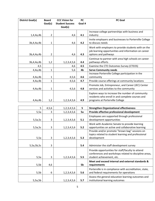| <b>District Goal(s)</b> | <b>Board</b>   | <b>CCC Vision for</b>             | <b>PC</b> | <b>PC Goal</b>                                                                                                                           |
|-------------------------|----------------|-----------------------------------|-----------|------------------------------------------------------------------------------------------------------------------------------------------|
|                         | Goal(s)        | <b>Student Success</b><br>Goal(s) | Goal #    |                                                                                                                                          |
|                         |                |                                   |           |                                                                                                                                          |
| 1,4,4a,4b               | $\overline{2}$ | 4,6                               | 4.1       | Increase college partnerships with business and<br>industry                                                                              |
|                         |                |                                   |           | Invite employers and businesses to Porterville College                                                                                   |
| 3b, 4, 4a, 4b           | $\mathbf{1}$   | 4,6                               | 4.2       | to discuss needs                                                                                                                         |
| 3b, 4, 4a, 4b           | 2              | 4,6                               | 4.3       | Work with employers to provide students with on the<br>job learning opportunities and information on career<br>options and pathways      |
| 3b, 4, 4a, 4b           | 1,2            | 1, 2, 3, 4, 5, 6                  | 4.4       | Continue to partner with area high schools on career<br>pathways efforts                                                                 |
| 4,5                     |                | 4,6                               | 4.5       | Examine the CTE Outcomes Survey (CTEOS)                                                                                                  |
| 4,4a,4b                 | $\mathbf{1}$   | 5,6                               | 4b        | <b>Serve Community needs</b>                                                                                                             |
| 4,4a,4b                 | 1              |                                   | 4.6       | Increase Porterville College participation in the<br>community                                                                           |
| 4,4a,4b                 | $\mathbf{1}$   | 4,5,6<br>4, 5, 6                  | 4.7       | Provide course offerings at community locations                                                                                          |
|                         |                |                                   |           |                                                                                                                                          |
| 4,4a,4b                 | 1              | 4, 5, 6                           | 4.8       | Promote Job, Entrepreneur, and Career (JEC) Center<br>services and activities to the community                                           |
| 4,4a,4b                 | 1,2            | 1, 2, 3, 4, 5, 6                  | 4.9       | Explore ways to increase the number of community<br>residents who enroll in and complete courses and<br>programs at Porterville College  |
|                         |                |                                   |           |                                                                                                                                          |
| 5                       | 4, 5, 6        | 1, 2, 3, 4, 5, 6                  | 5         | <b>Strengthen Organizational effectiveness</b>                                                                                           |
| 5,5a                    | 3              | 1, 2, 3, 4, 5, 6                  | 5a        | Provide effective professional development                                                                                               |
| 5,5a,5c                 | 3              | 1, 2, 3, 4, 5, 6                  | 5.1       | Employees are supported through professional<br>development opportunities                                                                |
| 5,5a,5c                 | 3              | 1, 2, 3, 4, 5, 6                  | 5.2       | Work with Academic Senate to provide learning<br>opportunities on active and collaborative learning                                      |
| 5,5a                    | 3              | 1, 2, 3, 4, 5, 6                  | 5.3       | Provide and/or promote "brown bag" sessions on<br>topics related to student learning and professional<br>development                     |
| 5,5a,5b,5c              | 3              |                                   | 5.4       | Administer the staff development survey                                                                                                  |
| 5,5a                    | 3              | 1, 2, 3, 4, 5, 6                  | 5.5       | Provide opportunities for staff/faculty to attend<br>conferences and workshops related to discipline areas,<br>student achievement, etc. |
| 5,5b                    | 4,6            |                                   | 5b        | Meet and exceed internal and external standards &<br>requirements                                                                        |
| 5,5b                    | 6              | 1, 2, 3, 4, 5, 6                  | 5.6       | Porterville is in compliance with accreditation, state,<br>and federal requirements for operations                                       |
| 5, 5a, 5b               |                | 1, 2, 3, 4, 5, 6                  | 5.7       | Assess the general education learning outcomes and<br>institutional learning outcomes                                                    |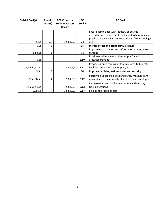| <b>District Goal(s)</b> | <b>Board</b><br>Goal(s) | <b>CCC Vision for</b><br><b>Student Success</b><br>Goal(s) | <b>PC</b><br>Goal # | <b>PC Goal</b>                                                                                                                                                          |
|-------------------------|-------------------------|------------------------------------------------------------|---------------------|-------------------------------------------------------------------------------------------------------------------------------------------------------------------------|
| 5,5b                    | 5,6                     | 1, 2, 3, 4, 5, 6                                           | 5.8                 | Ensure compliance with industry or outside<br>accreditation requirements and standards for nursing,<br>psychiatric technician, police academy, fire technology,<br>etc. |
| 5,5c                    | 3                       |                                                            | 5c                  | Increase trust and collaborative culture                                                                                                                                |
| 5,5a,5c                 | 3                       |                                                            | 5.9                 | Improve collaboration and information sharing across<br>campus                                                                                                          |
| 5,5c                    |                         |                                                            | 5.10                | Provide email updates to the campus for each<br>area/department                                                                                                         |
| 5,5a,5b,5c,5d           |                         | 1, 2, 3, 4, 5, 6                                           | 5.11                | Provide campus forums on topics related to budget,<br>facilities, education master plan, etc.                                                                           |
| 5,5d                    | 4                       |                                                            | 5d                  | Improve facilities, maintenance, and security                                                                                                                           |
| 5,5a,5b,5d              | 4                       | 1, 2, 3, 4, 5, 6                                           | 5.12                | Porterville College facilities and safety measures are<br>maintained to meet needs of students and employees                                                            |
| 5,5a,5b,5c,5d           | 4                       | 1, 2, 3, 4, 5, 6                                           | 5.13                | Increase number of scheduled safety and security<br>training sessions                                                                                                   |
| 5,5b,5d                 | 4                       | 1, 2, 3, 4, 5, 6                                           | 5.14                | Finalize the facilities plan                                                                                                                                            |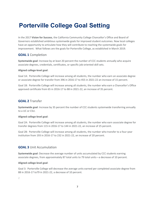# **Porterville College Goal Setting**

In the 2017 **Vision for Success**, the California Community College Chancellor's Office and Board of Governors established ambitious systemwide goals for improved student outcomes. Now local colleges have an opportunity to articulate how they will contribute to reaching the systemwide goals for improvement. What follows are the goals for Porterville College, as established in March 2019.

# **GOAL 1** Completion

**Systemwide goal**: Increase by at least 20 percent the number of CCC students annually who acquire associate degrees, credentials, certificates, or specific job-oriented skill sets.

#### **Aligned college‐level goal**:

Goal 1A: Porterville College will increase among all students, the number who earn an associate degree or associate degree for transfer from 396 in 2016‐17 to 455 in 2021‐22 an increase of 15 percent.

Goal 1B: Porterville College will increase among all students, the number who earn a Chancellor's Office approved certificate from 65 in 2016‐17 to 88 in 2021‐22, an increase of 35 percent.

# **GOAL 2** Transfer

**Systemwide goal**: Increase by 35 percent the number of CCC students systemwide transferring annually to a UC or CSU.

#### **Aligned college‐level goal**:

Goal 2A: Porterville College will increase among all students, the number who earn associate degree for transfer degrees from 115 in 2016‐17 to 144 in 2021‐22, an increase of 25 percent.

Goal 2B: Porterville College will increase among all students, the number who transfer to a four‐year institution from 193 in 2016‐17 to 232 in 2021‐22, an increase of 20 percent.

# **GOAL 3** Unit Accumulation

**Systemwide goal**: Decrease the average number of units accumulated by CCC students earning associate degrees, from approximately 87 total units to 79 total units—a decrease of 10 percent.

#### **Aligned college‐level goal**:

Goal 3: Porterville College will decrease the average units earned per completed associate degree from 88 in 2016‐17 to79 in 2021‐22, a decrease of 10 percent.